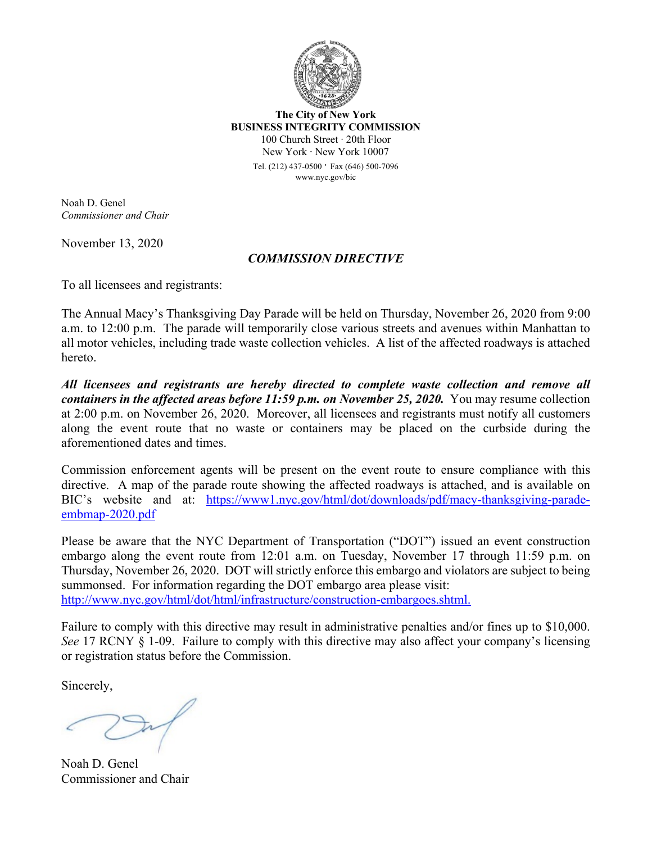

**The City of New York BUSINESS INTEGRITY COMMISSION** 100 Church Street ∙ 20th Floor New York ∙ New York 10007

> Tel. (212) 437-0500 ∙ Fax (646) 500-<sup>7096</sup> www.nyc.gov/bic

Noah D. Genel *Commissioner and Chair*

November 13, 2020

## *COMMISSION DIRECTIVE*

To all licensees and registrants:

The Annual Macy's Thanksgiving Day Parade will be held on Thursday, November 26, 2020 from 9:00 a.m. to 12:00 p.m. The parade will temporarily close various streets and avenues within Manhattan to all motor vehicles, including trade waste collection vehicles. A list of the affected roadways is attached hereto.

*All licensees and registrants are hereby directed to complete waste collection and remove all containers in the affected areas before 11:59 p.m. on November 25, 2020.* You may resume collection at 2:00 p.m. on November 26, 2020. Moreover, all licensees and registrants must notify all customers along the event route that no waste or containers may be placed on the curbside during the aforementioned dates and times.

Commission enforcement agents will be present on the event route to ensure compliance with this directive. A map of the parade route showing the affected roadways is attached, and is available on BIC's website and at: [https://www1.nyc.gov/html/dot/downloads/pdf/macy](https://www1.nyc.gov/html/dot/downloads/pdf/macy-thanksgiving-parade-embmap-2020.pdf)-thanksgiving-paradeembmap-[2020.pdf](https://www1.nyc.gov/html/dot/downloads/pdf/macy-thanksgiving-parade-embmap-2020.pdf)

Please be aware that the NYC Department of Transportation ("DOT") issued an event construction embargo along the event route from 12:01 a.m. on Tuesday, November 17 through 11:59 p.m. on Thursday, November 26, 2020. DOT will strictly enforce this embargo and violators are subject to being summonsed. For information regarding the DOT embargo area please visit: [http://www.nyc.gov/html/dot/html/infrastructure/construction](http://www.nyc.gov/html/dot/html/infrastructure/construction-embargoes.shtml)-embargoes.shtml.

Failure to comply with this directive may result in administrative penalties and/or fines up to \$10,000. *See* 17 RCNY § 1-09. Failure to comply with this directive may also affect your company's licensing or registration status before the Commission.

Sincerely,

Noah D. Genel Commissioner and Chair